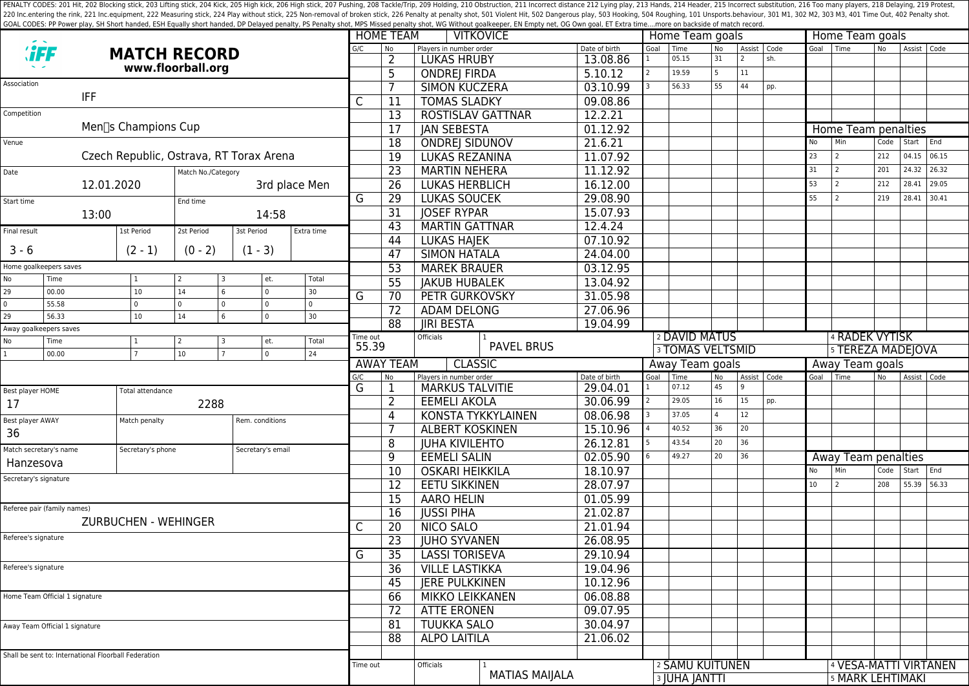|                                                      |                                                                      |                             |                                   |                                         | <b>HOME TEAM</b>     |                       | <b>VITKOVICE</b>    |                                                   |                       | Home Team goals           |                      |                         |                 |               | Home Team goals |                |                                  |                |             |       |
|------------------------------------------------------|----------------------------------------------------------------------|-----------------------------|-----------------------------------|-----------------------------------------|----------------------|-----------------------|---------------------|---------------------------------------------------|-----------------------|---------------------------|----------------------|-------------------------|-----------------|---------------|-----------------|----------------|----------------------------------|----------------|-------------|-------|
|                                                      |                                                                      | <b>MATCH RECORD</b>         |                                   |                                         |                      | G/C                   | l No                | Players in number order                           |                       | Date of birth             | Goal<br>$\mathbf{1}$ | Time<br>05.15           | <b>No</b><br>31 | Assist   Code | sh.             |                | Goal Time                        | N <sub>o</sub> | Assist Code |       |
|                                                      |                                                                      |                             | www.floorball.org                 |                                         |                      |                       | $\overline{2}$      | <b>LUKAS HRUBY</b>                                |                       | 13.08.86<br>5.10.12       | $\overline{2}$       | 19.59                   | 5               | 11            |                 |                |                                  |                |             |       |
| Association                                          |                                                                      |                             |                                   |                                         |                      |                       | 5                   | <b>ONDREJ FIRDA</b>                               |                       |                           |                      | 56.33                   | 55              | 44            |                 |                |                                  |                |             |       |
|                                                      | <b>IFF</b>                                                           |                             |                                   |                                         |                      |                       | 7                   | <b>SIMON KUCZERA</b>                              |                       | 03.10.99                  |                      |                         |                 |               | pp.             |                |                                  |                |             |       |
| Competition                                          |                                                                      |                             |                                   |                                         |                      | C                     | 11                  | <b>TOMAS SLADKY</b>                               |                       | 09.08.86                  |                      |                         |                 |               |                 |                |                                  |                |             |       |
|                                                      |                                                                      | Men∏s Champions Cup         |                                   |                                         |                      |                       | 13                  | ROSTISLAV GATTNAR                                 |                       | 12.2.21                   |                      |                         |                 |               |                 |                |                                  |                |             |       |
|                                                      |                                                                      |                             |                                   |                                         |                      |                       | 17                  | <b>JAN SEBESTA</b>                                |                       | 01.12.92                  |                      |                         |                 |               |                 |                | Home Team penalties              |                |             |       |
| Venue                                                |                                                                      |                             |                                   |                                         |                      |                       | 18                  | <b>ONDREJ SIDUNOV</b>                             |                       | 21.6.21                   |                      |                         |                 |               |                 | No             | Min                              | Code           | Start       | End   |
|                                                      |                                                                      |                             |                                   | Czech Republic, Ostrava, RT Torax Arena |                      |                       | $\overline{19}$     | <b>LUKAS REZANINA</b>                             |                       | 11.07.92                  |                      |                         |                 |               |                 | 23             | 2                                | 212            | 04.15       | 06.15 |
| Date                                                 |                                                                      |                             | Match No./Category                |                                         |                      |                       | $\overline{23}$     | <b>MARTIN NEHERA</b>                              |                       | 11.12.92                  |                      |                         |                 |               |                 | 31             | $\overline{2}$                   | 201            | 24.32       | 26.32 |
|                                                      | 12.01.2020<br>3rd place Men                                          |                             |                                   |                                         |                      | G                     | 26                  | <b>LUKAS HERBLICH</b>                             |                       | 16.12.00                  |                      |                         |                 |               |                 | 53             | $\overline{2}$                   | 212            | 28.41       | 29.05 |
| Start time                                           | End time                                                             |                             |                                   |                                         |                      |                       | 29                  | <b>LUKAS SOUCEK</b>                               |                       | 29.08.90                  |                      |                         |                 |               |                 | 55             | $\overline{2}$                   | 219            | 28.41       | 30.41 |
|                                                      | 13:00<br>14:58                                                       |                             |                                   |                                         |                      |                       | $\overline{31}$     | <b>JOSEF RYPAR</b>                                |                       | 15.07.93                  |                      |                         |                 |               |                 |                |                                  |                |             |       |
|                                                      | 2st Period<br>3st Period<br>Extra time<br>Final result<br>1st Period |                             |                                   |                                         | 43                   | <b>MARTIN GATTNAR</b> |                     | 12.4.24                                           |                       |                           |                      |                         |                 |               |                 |                |                                  |                |             |       |
|                                                      |                                                                      |                             |                                   |                                         | 44                   | LUKAS HAJEK           |                     | 07.10.92                                          |                       |                           |                      |                         |                 |               |                 |                |                                  |                |             |       |
| $3 - 6$<br>$(2 - 1)$                                 |                                                                      |                             | $(0 - 2)$<br>$(1 - 3)$            |                                         |                      | 47                    | <b>SIMON HATALA</b> |                                                   | 24.04.00              |                           |                      |                         |                 |               |                 |                |                                  |                |             |       |
| Home goalkeepers saves                               |                                                                      |                             |                                   |                                         | $\overline{53}$      | <b>MAREK BRAUER</b>   |                     | 03.12.95                                          |                       |                           |                      |                         |                 |               |                 |                |                                  |                |             |       |
| No                                                   | Total<br>Time<br>$\mathbf{1}$<br>et.<br>6                            |                             |                                   | $\overline{55}$                         | <b>JAKUB HUBALEK</b> |                       | 13.04.92            |                                                   |                       |                           |                      |                         |                 |               |                 |                |                                  |                |             |       |
| 29<br>0                                              | 00.00<br>55.58                                                       | 10<br>$\mathbf{0}$          | 14<br>0<br>$\Omega$               | $\circ$<br>$\overline{0}$               | 30<br>$\mathbf 0$    | G                     | 70                  | PETR GURKOVSKY                                    |                       | 31.05.98                  |                      |                         |                 |               |                 |                |                                  |                |             |       |
| 29                                                   | 56.33                                                                | 10                          | 14<br>$6 \overline{6}$            | $\overline{0}$                          | 30                   |                       | $\overline{72}$     | <b>ADAM DELONG</b>                                | 27.06.96              |                           |                      |                         |                 |               |                 |                |                                  |                |             |       |
| Away goalkeepers saves                               |                                                                      |                             |                                   |                                         |                      | 88                    | <b>IIRI BESTA</b>   |                                                   | 19.04.99              |                           |                      |                         |                 |               |                 |                |                                  |                |             |       |
| No                                                   | Time                                                                 |                             | 2                                 | et.                                     | Total                | Time out              |                     | Officials                                         |                       |                           | 2 DAVID MATUS        |                         |                 |               |                 | 4 RADEK VYTISK |                                  |                |             |       |
| $\mathbf{1}$                                         | 00.00                                                                | $\overline{7}$              | 10 <sup>°</sup><br>$\overline{7}$ | $\overline{0}$                          | 24                   | 55.39                 |                     |                                                   | <b>PAVEL BRUS</b>     |                           |                      | <b>3 TOMAS VELTSMID</b> |                 |               |                 |                | 5 TEREZA MADEJOVA                |                |             |       |
|                                                      |                                                                      |                             |                                   |                                         |                      |                       | <b>AWAY TEAM</b>    | <b>CLASSIC</b>                                    |                       |                           |                      | Away Team goals         |                 |               |                 |                | Away Team goals                  |                |             |       |
|                                                      |                                                                      |                             |                                   |                                         |                      | G/C<br>G              | No.                 | Players in number order<br><b>MARKUS TALVITIE</b> |                       | Date of birth<br>29.04.01 | Goal                 | Time<br>07.12           | No<br>45        | Assist   Code |                 |                | Goal Time                        | No.            | Assist Code |       |
|                                                      | Best player HOME                                                     | <b>Total attendance</b>     |                                   |                                         |                      |                       | 1                   | <b>EEMELI AKOLA</b>                               |                       | 30.06.99                  |                      | 29.05                   | 16              | 15            | pp.             |                |                                  |                |             |       |
| 17                                                   |                                                                      | 2288                        |                                   |                                         |                      | 2                     |                     | <b>KONSTA TYKKYLAINEN</b>                         | 08.06.98              |                           | 37.05                |                         | 12              |               |                 |                |                                  |                |             |       |
|                                                      | Best player AWAY                                                     | Match penalty               |                                   |                                         | Rem. conditions      |                       | 4<br>7              | <b>ALBERT KOSKINEN</b>                            |                       | 15.10.96                  |                      | 40.52                   | 36              | 20            |                 |                |                                  |                |             |       |
| 36                                                   |                                                                      |                             |                                   |                                         |                      |                       |                     |                                                   |                       |                           |                      | 43.54                   | 20              | 36            |                 |                |                                  |                |             |       |
|                                                      | Match secretary's name                                               | Secretary's phone           |                                   | Secretary's email                       |                      |                       | 8                   | <b>JUHA KIVILEHTO</b>                             |                       | 26.12.81                  |                      | 49.27                   | 20              | 36            |                 |                |                                  |                |             |       |
|                                                      | Hanzesova                                                            |                             |                                   |                                         |                      |                       | 9                   | <b>EEMELI SALIN</b>                               |                       | 02.05.90                  |                      |                         |                 |               |                 | No             | Away Team penalties<br>Min       | Code           | Start End   |       |
|                                                      | Secretary's signature                                                |                             |                                   |                                         |                      |                       | 10                  | <b>OSKARI HEIKKILA</b>                            |                       | 18.10.97                  |                      |                         |                 |               |                 | 10             | 2                                | 208            | 55.39 56.33 |       |
|                                                      |                                                                      |                             |                                   |                                         |                      |                       | $\overline{12}$     | <b>EETU SIKKINEN</b>                              |                       | 28.07.97                  |                      |                         |                 |               |                 |                |                                  |                |             |       |
|                                                      | Referee pair (family names)                                          |                             |                                   |                                         |                      |                       | $\overline{15}$     | <b>AARO HELIN</b>                                 |                       | 01.05.99                  |                      |                         |                 |               |                 |                |                                  |                |             |       |
|                                                      |                                                                      | <b>ZURBUCHEN - WEHINGER</b> |                                   |                                         |                      |                       | 16                  | <b>IUSSI PIHA</b>                                 |                       | 21.02.87                  |                      |                         |                 |               |                 |                |                                  |                |             |       |
|                                                      | Referee's signature                                                  |                             |                                   |                                         |                      | C                     | 20                  | <b>NICO SALO</b>                                  |                       | 21.01.94                  |                      |                         |                 |               |                 |                |                                  |                |             |       |
|                                                      |                                                                      |                             |                                   |                                         |                      |                       | 23                  | <b>JUHO SYVANEN</b>                               |                       | 26.08.95                  |                      |                         |                 |               |                 |                |                                  |                |             |       |
|                                                      |                                                                      |                             |                                   |                                         |                      | G                     | 35                  | <b>LASSI TORISEVA</b>                             |                       | 29.10.94                  |                      |                         |                 |               |                 |                |                                  |                |             |       |
| Referee's signature                                  |                                                                      |                             |                                   |                                         |                      |                       | 36                  | <b>VILLE LASTIKKA</b>                             |                       | 19.04.96                  |                      |                         |                 |               |                 |                |                                  |                |             |       |
|                                                      |                                                                      |                             |                                   |                                         |                      |                       | 45                  | <b>JERE PULKKINEN</b>                             |                       | 10.12.96                  |                      |                         |                 |               |                 |                |                                  |                |             |       |
| Home Team Official 1 signature                       |                                                                      |                             |                                   |                                         |                      |                       | 66                  | <b>MIKKO LEIKKANEN</b>                            |                       | 06.08.88                  |                      |                         |                 |               |                 |                |                                  |                |             |       |
|                                                      |                                                                      |                             |                                   |                                         |                      |                       | $\overline{72}$     | <b>ATTE ERONEN</b>                                |                       | 09.07.95                  |                      |                         |                 |               |                 |                |                                  |                |             |       |
|                                                      | Away Team Official 1 signature                                       |                             |                                   |                                         | 81                   | <b>TUUKKA SALO</b>    |                     | 30.04.97                                          |                       |                           |                      |                         |                 |               |                 |                |                                  |                |             |       |
|                                                      |                                                                      |                             |                                   |                                         |                      |                       | 88                  | <b>ALPO LAITILA</b>                               |                       | 21.06.02                  |                      |                         |                 |               |                 |                |                                  |                |             |       |
| Shall be sent to: International Floorball Federation |                                                                      |                             |                                   |                                         |                      |                       |                     |                                                   |                       |                           |                      |                         |                 |               |                 |                |                                  |                |             |       |
|                                                      |                                                                      |                             |                                   |                                         |                      |                       | Time out            | Officials                                         |                       |                           |                      | 2 SAMU KUITUNEN         |                 |               |                 |                | <sup>4</sup> VESA-MATTI VIRTANEN |                |             |       |
|                                                      |                                                                      |                             |                                   |                                         |                      |                       |                     |                                                   | <b>MATIAS MAIJALA</b> |                           |                      | <b>3 JUHA JANTTI</b>    |                 |               |                 |                | <b>5 MARK LEHTIMAKI</b>          |                |             |       |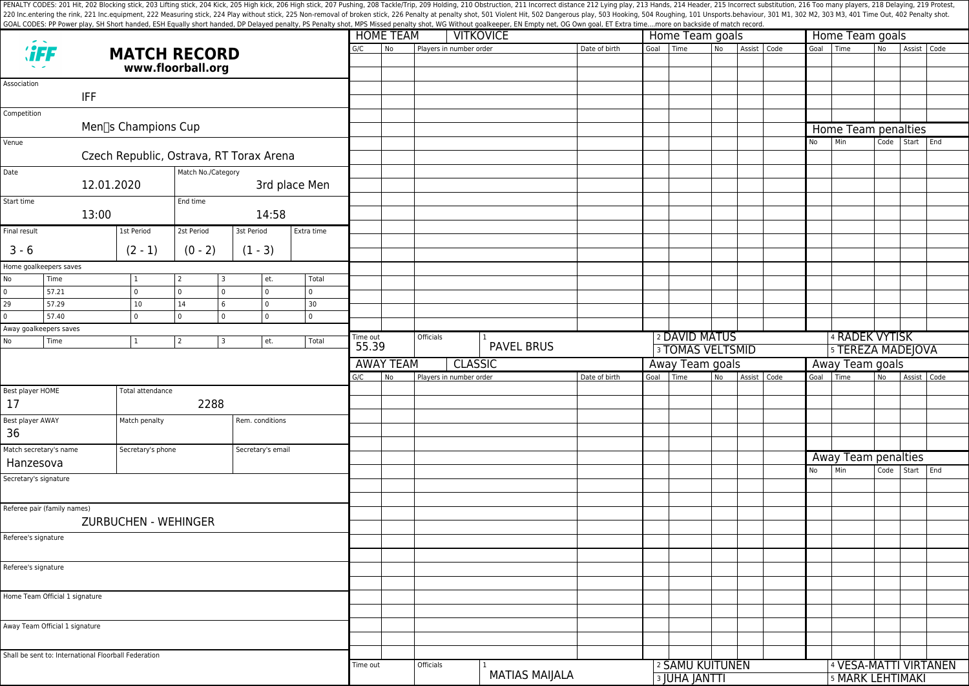|                                                      |                                                      |                                          |                    |                               |                |          | <b>HOME TEAM</b> |                         | <b>VITKOVICE</b>      |               |      | Home Team goals         |                |             |  |           | Home Team goals       |                |                |     |  |  |
|------------------------------------------------------|------------------------------------------------------|------------------------------------------|--------------------|-------------------------------|----------------|----------|------------------|-------------------------|-----------------------|---------------|------|-------------------------|----------------|-------------|--|-----------|-----------------------|----------------|----------------|-----|--|--|
|                                                      | <b><i>``FF</i></b>                                   | <b>MATCH RECORD</b><br>www.floorball.org |                    |                               |                |          | <b>No</b>        | Players in number order |                       | Date of birth |      | Goal Time               | N <sub>o</sub> | Assist Code |  | Goal Time |                       | N <sub>o</sub> | Assist Code    |     |  |  |
| Association                                          |                                                      |                                          |                    |                               |                |          |                  |                         |                       |               |      |                         |                |             |  |           |                       |                |                |     |  |  |
|                                                      | <b>IFF</b>                                           |                                          |                    |                               |                |          |                  |                         |                       |               |      |                         |                |             |  |           |                       |                |                |     |  |  |
| Competition                                          |                                                      |                                          |                    |                               |                |          |                  |                         |                       |               |      |                         |                |             |  |           |                       |                |                |     |  |  |
|                                                      |                                                      | Men[]s Champions Cup                     |                    |                               |                |          |                  |                         |                       |               |      |                         |                |             |  |           | Home Team penalties   |                |                |     |  |  |
| Venue                                                |                                                      |                                          |                    |                               |                |          |                  |                         |                       |               |      |                         |                |             |  | No        | Min                   | Code           | Start          | End |  |  |
|                                                      |                                                      | Czech Republic, Ostrava, RT Torax Arena  |                    |                               |                |          |                  |                         |                       |               |      |                         |                |             |  |           |                       |                |                |     |  |  |
| Date                                                 |                                                      |                                          | Match No./Category |                               |                |          |                  |                         |                       |               |      |                         |                |             |  |           |                       |                |                |     |  |  |
|                                                      |                                                      | 12.01.2020                               |                    |                               | 3rd place Men  |          |                  |                         |                       |               |      |                         |                |             |  |           |                       |                |                |     |  |  |
| Start time                                           |                                                      |                                          | End time           |                               |                |          |                  |                         |                       |               |      |                         |                |             |  |           |                       |                |                |     |  |  |
|                                                      | 13:00<br>14:58                                       |                                          |                    |                               |                |          |                  |                         |                       |               |      |                         |                |             |  |           |                       |                |                |     |  |  |
| Final result<br>1st Period                           |                                                      | 2st Period                               | 3st Period         | Extra time                    |                |          |                  |                         |                       |               |      |                         |                |             |  |           |                       |                |                |     |  |  |
| $3 - 6$                                              |                                                      | $(2 - 1)$                                | $(0 - 2)$          | $(1 - 3)$                     |                |          |                  |                         |                       |               |      |                         |                |             |  |           |                       |                |                |     |  |  |
|                                                      | Home goalkeepers saves                               |                                          |                    |                               |                |          |                  |                         |                       |               |      |                         |                |             |  |           |                       |                |                |     |  |  |
| No                                                   | Time                                                 | 1                                        | 2                  | et.<br>3                      | Total          |          |                  |                         |                       |               |      |                         |                |             |  |           |                       |                |                |     |  |  |
| 0                                                    | 57.21                                                | $\overline{0}$                           | $\mathbf{0}$       | $\mathbf 0$<br>$\overline{0}$ | $\overline{0}$ |          |                  |                         |                       |               |      |                         |                |             |  |           |                       |                |                |     |  |  |
| 29                                                   | 57.29                                                | 10                                       | 14                 | 6<br>0                        | 30             |          |                  |                         |                       |               |      |                         |                |             |  |           |                       |                |                |     |  |  |
|                                                      | 57.40                                                | $\Omega$                                 | $\mathbf 0$        | $\mathbf 0$<br>$\overline{0}$ | $\overline{0}$ |          |                  |                         |                       |               |      |                         |                |             |  |           |                       |                |                |     |  |  |
|                                                      | Away goalkeepers saves                               |                                          |                    |                               |                | Time out |                  | Officials               |                       |               |      | 2 DAVID MATUS           |                |             |  |           | 4 RADEK VYTISK        |                |                |     |  |  |
| No<br>Time<br>3<br>et.<br>Total<br>2<br>$\mathbf{1}$ |                                                      |                                          |                    |                               |                | 55.39    |                  |                         | <b>PAVEL BRUS</b>     |               |      | <b>3 TOMAS VELTSMID</b> |                |             |  |           | 5 TEREZA MADEJOVA     |                |                |     |  |  |
|                                                      |                                                      |                                          |                    |                               |                |          | <b>AWAY TEAM</b> |                         | <b>CLASSIC</b>        |               |      | Away Team goals         |                |             |  |           | Away Team goals       |                |                |     |  |  |
|                                                      |                                                      |                                          |                    |                               |                | G/C      | No               | Players in number order |                       | Date of birth | Goal | Time                    | No             | Assist Code |  | Goal Time |                       | No             | Assist Code    |     |  |  |
|                                                      | Best player HOME                                     | Total attendance                         |                    |                               |                |          |                  |                         |                       |               |      |                         |                |             |  |           |                       |                |                |     |  |  |
| 17                                                   |                                                      |                                          | 2288               |                               |                |          |                  |                         |                       |               |      |                         |                |             |  |           |                       |                |                |     |  |  |
|                                                      | Best player AWAY                                     | Match penalty                            |                    | Rem. conditions               |                |          |                  |                         |                       |               |      |                         |                |             |  |           |                       |                |                |     |  |  |
| 36                                                   |                                                      |                                          |                    |                               |                |          |                  |                         |                       |               |      |                         |                |             |  |           |                       |                |                |     |  |  |
|                                                      | Match secretary's name                               | Secretary's phone                        |                    | Secretary's email             |                |          |                  |                         |                       |               |      |                         |                |             |  |           | Away Team penalties   |                |                |     |  |  |
|                                                      | Hanzesova                                            |                                          |                    |                               |                |          |                  |                         |                       |               |      |                         |                |             |  | No        | Min                   |                | Code Start End |     |  |  |
|                                                      | Secretary's signature                                |                                          |                    |                               |                |          |                  |                         |                       |               |      |                         |                |             |  |           |                       |                |                |     |  |  |
|                                                      | Referee pair (family names)                          |                                          |                    |                               |                |          |                  |                         |                       |               |      |                         |                |             |  |           |                       |                |                |     |  |  |
|                                                      |                                                      | ZURBUCHEN - WEHINGER                     |                    |                               |                |          |                  |                         |                       |               |      |                         |                |             |  |           |                       |                |                |     |  |  |
|                                                      | Referee's signature                                  |                                          |                    |                               |                |          |                  |                         |                       |               |      |                         |                |             |  |           |                       |                |                |     |  |  |
|                                                      |                                                      |                                          |                    |                               |                |          |                  |                         |                       |               |      |                         |                |             |  |           |                       |                |                |     |  |  |
|                                                      | Referee's signature                                  |                                          |                    |                               |                |          |                  |                         |                       |               |      |                         |                |             |  |           |                       |                |                |     |  |  |
|                                                      |                                                      |                                          |                    |                               |                |          |                  |                         |                       |               |      |                         |                |             |  |           |                       |                |                |     |  |  |
| Home Team Official 1 signature                       |                                                      |                                          |                    |                               |                |          |                  |                         |                       |               |      |                         |                |             |  |           |                       |                |                |     |  |  |
|                                                      |                                                      |                                          |                    |                               |                |          |                  |                         |                       |               |      |                         |                |             |  |           |                       |                |                |     |  |  |
|                                                      | Away Team Official 1 signature                       |                                          |                    |                               |                |          |                  |                         |                       |               |      |                         |                |             |  |           |                       |                |                |     |  |  |
|                                                      |                                                      |                                          |                    |                               |                |          |                  |                         |                       |               |      |                         |                |             |  |           |                       |                |                |     |  |  |
|                                                      | Shall be sent to: International Floorball Federation |                                          |                    |                               |                |          |                  |                         |                       |               |      |                         |                |             |  |           |                       |                |                |     |  |  |
|                                                      |                                                      |                                          |                    |                               |                | Time out |                  | Officials               | <b>MATIAS MAIJALA</b> |               |      | 2 SAMU KUITUNEN         |                |             |  |           | 4 VESA-MATTI VIRTANEN |                |                |     |  |  |
|                                                      |                                                      |                                          |                    |                               |                |          |                  |                         |                       |               |      | <b>3 JUHA JANTTI</b>    |                |             |  |           | 5 MARK LEHTIMAKI      |                |                |     |  |  |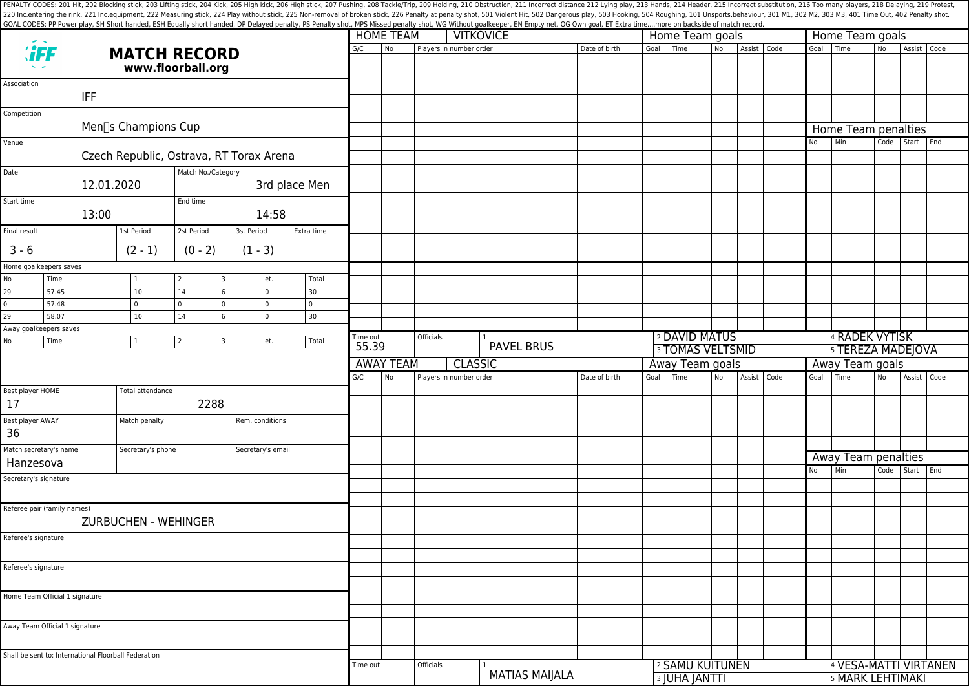|                                |                                                      |                                          |                    |                             |                |          | <b>HOME TEAM</b> |                         | <b>VITKOVICE</b>      |               |                 | Home Team goals         |                |             |  |                       | Home Team goals     |                |                |     |  |  |
|--------------------------------|------------------------------------------------------|------------------------------------------|--------------------|-----------------------------|----------------|----------|------------------|-------------------------|-----------------------|---------------|-----------------|-------------------------|----------------|-------------|--|-----------------------|---------------------|----------------|----------------|-----|--|--|
|                                | <b><i>``FF</i></b>                                   | <b>MATCH RECORD</b><br>www.floorball.org |                    |                             |                |          | <b>No</b>        | Players in number order |                       | Date of birth |                 | Goal Time               | N <sub>o</sub> | Assist Code |  |                       | Goal Time           | N <sub>o</sub> | Assist Code    |     |  |  |
| Association                    |                                                      |                                          |                    |                             |                |          |                  |                         |                       |               |                 |                         |                |             |  |                       |                     |                |                |     |  |  |
|                                | <b>IFF</b>                                           |                                          |                    |                             |                |          |                  |                         |                       |               |                 |                         |                |             |  |                       |                     |                |                |     |  |  |
| Competition                    |                                                      |                                          |                    |                             |                |          |                  |                         |                       |               |                 |                         |                |             |  |                       |                     |                |                |     |  |  |
|                                |                                                      | Men[]s Champions Cup                     |                    |                             |                |          |                  |                         |                       |               |                 |                         |                |             |  |                       | Home Team penalties |                |                |     |  |  |
| Venue                          |                                                      |                                          |                    |                             |                |          |                  |                         |                       |               |                 |                         |                |             |  | No                    | Min                 | Code           | Start          | End |  |  |
|                                |                                                      | Czech Republic, Ostrava, RT Torax Arena  |                    |                             |                |          |                  |                         |                       |               |                 |                         |                |             |  |                       |                     |                |                |     |  |  |
| Date                           |                                                      |                                          | Match No./Category |                             |                |          |                  |                         |                       |               |                 |                         |                |             |  |                       |                     |                |                |     |  |  |
|                                |                                                      | 12.01.2020                               |                    |                             | 3rd place Men  |          |                  |                         |                       |               |                 |                         |                |             |  |                       |                     |                |                |     |  |  |
| Start time                     |                                                      |                                          | End time           |                             |                |          |                  |                         |                       |               |                 |                         |                |             |  |                       |                     |                |                |     |  |  |
|                                | 13:00<br>14:58                                       |                                          |                    |                             |                |          |                  |                         |                       |               |                 |                         |                |             |  |                       |                     |                |                |     |  |  |
| Final result<br>1st Period     |                                                      |                                          | 2st Period         | 3st Period                  | Extra time     |          |                  |                         |                       |               |                 |                         |                |             |  |                       |                     |                |                |     |  |  |
| $3 - 6$                        |                                                      | $(2 - 1)$                                | $(0 - 2)$          | $(1 - 3)$                   |                |          |                  |                         |                       |               |                 |                         |                |             |  |                       |                     |                |                |     |  |  |
|                                | Home goalkeepers saves                               |                                          |                    |                             |                |          |                  |                         |                       |               |                 |                         |                |             |  |                       |                     |                |                |     |  |  |
| No                             | Time                                                 | 1                                        | 2                  | et.<br>3                    | Total          |          |                  |                         |                       |               |                 |                         |                |             |  |                       |                     |                |                |     |  |  |
| 29                             | 57.45                                                | 10                                       | 14                 | 6<br>$\overline{0}$         | 30             |          |                  |                         |                       |               |                 |                         |                |             |  |                       |                     |                |                |     |  |  |
| 0                              | 57.48                                                | 0                                        | $\mathbf 0$        | $\mathsf{O}$<br>$\mathbf 0$ | $\overline{0}$ |          |                  |                         |                       |               |                 |                         |                |             |  |                       |                     |                |                |     |  |  |
| 29                             | 58.07                                                | 10                                       | 14                 | 6<br>$\overline{0}$         | 30             |          |                  |                         |                       |               |                 |                         |                |             |  |                       |                     |                |                |     |  |  |
| No                             | Away goalkeepers saves<br>Time                       | $\mathbf{1}$                             | <u>  2</u>         | 3<br>et.                    | Total          | Time out |                  | Officials               |                       |               |                 | 2 DAVID MATUS           |                |             |  |                       | 4 RADEK VYTISK      |                |                |     |  |  |
|                                |                                                      |                                          |                    |                             |                | 55.39    |                  |                         | <b>PAVEL BRUS</b>     |               |                 | <b>3 TOMAS VELTSMID</b> |                |             |  |                       | 5 TEREZA MADEJOVA   |                |                |     |  |  |
|                                |                                                      |                                          |                    |                             |                |          | <b>AWAY TEAM</b> |                         | <b>CLASSIC</b>        |               |                 | Away Team goals         |                |             |  |                       | Away Team goals     |                |                |     |  |  |
|                                |                                                      |                                          |                    |                             |                | G/C      | No               | Players in number order |                       | Date of birth | Goal            | Time                    | No             | Assist Code |  |                       | Goal Time           | No             | Assist Code    |     |  |  |
|                                | Best player HOME                                     | Total attendance                         |                    |                             |                |          |                  |                         |                       |               |                 |                         |                |             |  |                       |                     |                |                |     |  |  |
| 17                             |                                                      |                                          | 2288               |                             |                |          |                  |                         |                       |               |                 |                         |                |             |  |                       |                     |                |                |     |  |  |
|                                | Best player AWAY                                     | Match penalty                            |                    | Rem. conditions             |                |          |                  |                         |                       |               |                 |                         |                |             |  |                       |                     |                |                |     |  |  |
| 36                             |                                                      |                                          |                    |                             |                |          |                  |                         |                       |               |                 |                         |                |             |  |                       |                     |                |                |     |  |  |
|                                | Match secretary's name<br>Hanzesova                  | Secretary's phone                        |                    | Secretary's email           |                |          |                  |                         |                       |               |                 |                         |                |             |  |                       | Away Team penalties |                |                |     |  |  |
|                                |                                                      |                                          |                    |                             |                |          |                  |                         |                       |               |                 |                         |                |             |  | No                    | Min                 |                | Code Start End |     |  |  |
|                                | Secretary's signature                                |                                          |                    |                             |                |          |                  |                         |                       |               |                 |                         |                |             |  |                       |                     |                |                |     |  |  |
|                                | Referee pair (family names)                          | ZURBUCHEN - WEHINGER                     |                    |                             |                |          |                  |                         |                       |               |                 |                         |                |             |  |                       |                     |                |                |     |  |  |
|                                | Referee's signature                                  |                                          |                    |                             |                |          |                  |                         |                       |               |                 |                         |                |             |  |                       |                     |                |                |     |  |  |
|                                |                                                      |                                          |                    |                             |                |          |                  |                         |                       |               |                 |                         |                |             |  |                       |                     |                |                |     |  |  |
|                                | Referee's signature                                  |                                          |                    |                             |                |          |                  |                         |                       |               |                 |                         |                |             |  |                       |                     |                |                |     |  |  |
|                                |                                                      |                                          |                    |                             |                |          |                  |                         |                       |               |                 |                         |                |             |  |                       |                     |                |                |     |  |  |
| Home Team Official 1 signature |                                                      |                                          |                    |                             |                |          |                  |                         |                       |               |                 |                         |                |             |  |                       |                     |                |                |     |  |  |
|                                |                                                      |                                          |                    |                             |                |          |                  |                         |                       |               |                 |                         |                |             |  |                       |                     |                |                |     |  |  |
|                                | Away Team Official 1 signature                       |                                          |                    |                             |                |          |                  |                         |                       |               |                 |                         |                |             |  |                       |                     |                |                |     |  |  |
|                                |                                                      |                                          |                    |                             |                |          |                  |                         |                       |               |                 |                         |                |             |  |                       |                     |                |                |     |  |  |
|                                | Shall be sent to: International Floorball Federation |                                          |                    |                             |                |          |                  |                         |                       |               |                 |                         |                |             |  |                       |                     |                |                |     |  |  |
|                                |                                                      |                                          |                    |                             | Time out       |          | Officials        |                         |                       |               | 2 SAMU KUITUNEN |                         |                |             |  | 4 VESA-MATTI VIRTANEN |                     |                |                |     |  |  |
|                                |                                                      |                                          |                    |                             |                |          |                  |                         | <b>MATIAS MAIJALA</b> |               |                 | <b>3 JUHA JANTTI</b>    |                |             |  |                       | 5 MARK LEHTIMAKI    |                |                |     |  |  |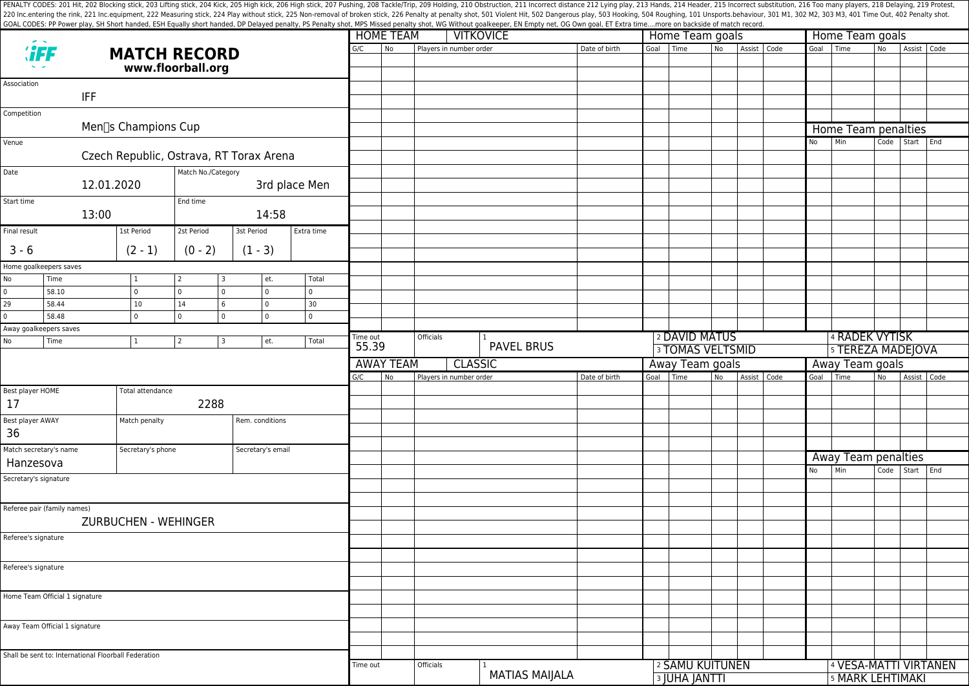|                                |                                                      |                                          |                    |                               |                |          | <b>HOME TEAM</b> |                         | <b>VITKOVICE</b>      |               |                 | Home Team goals         |                |             |  |                       | Home Team goals     |                |                |     |  |  |
|--------------------------------|------------------------------------------------------|------------------------------------------|--------------------|-------------------------------|----------------|----------|------------------|-------------------------|-----------------------|---------------|-----------------|-------------------------|----------------|-------------|--|-----------------------|---------------------|----------------|----------------|-----|--|--|
|                                | <b><i>``FF</i></b>                                   | <b>MATCH RECORD</b><br>www.floorball.org |                    |                               |                |          | <b>No</b>        | Players in number order |                       | Date of birth |                 | Goal Time               | N <sub>o</sub> | Assist Code |  |                       | Goal Time           | N <sub>o</sub> | Assist Code    |     |  |  |
| Association                    |                                                      |                                          |                    |                               |                |          |                  |                         |                       |               |                 |                         |                |             |  |                       |                     |                |                |     |  |  |
|                                | <b>IFF</b>                                           |                                          |                    |                               |                |          |                  |                         |                       |               |                 |                         |                |             |  |                       |                     |                |                |     |  |  |
| Competition                    |                                                      |                                          |                    |                               |                |          |                  |                         |                       |               |                 |                         |                |             |  |                       |                     |                |                |     |  |  |
|                                |                                                      | Men[]s Champions Cup                     |                    |                               |                |          |                  |                         |                       |               |                 |                         |                |             |  |                       | Home Team penalties |                |                |     |  |  |
| Venue                          |                                                      |                                          |                    |                               |                |          |                  |                         |                       |               |                 |                         |                |             |  | No                    | Min                 | Code           | Start          | End |  |  |
|                                |                                                      | Czech Republic, Ostrava, RT Torax Arena  |                    |                               |                |          |                  |                         |                       |               |                 |                         |                |             |  |                       |                     |                |                |     |  |  |
| Date                           |                                                      |                                          | Match No./Category |                               |                |          |                  |                         |                       |               |                 |                         |                |             |  |                       |                     |                |                |     |  |  |
|                                |                                                      | 12.01.2020                               |                    |                               | 3rd place Men  |          |                  |                         |                       |               |                 |                         |                |             |  |                       |                     |                |                |     |  |  |
| Start time                     |                                                      |                                          | End time           |                               |                |          |                  |                         |                       |               |                 |                         |                |             |  |                       |                     |                |                |     |  |  |
|                                | 13:00<br>14:58                                       |                                          |                    |                               |                |          |                  |                         |                       |               |                 |                         |                |             |  |                       |                     |                |                |     |  |  |
| Final result<br>1st Period     |                                                      |                                          | 2st Period         | 3st Period                    | Extra time     |          |                  |                         |                       |               |                 |                         |                |             |  |                       |                     |                |                |     |  |  |
| $3 - 6$                        |                                                      | $(2 - 1)$                                | $(0 - 2)$          | $(1 - 3)$                     |                |          |                  |                         |                       |               |                 |                         |                |             |  |                       |                     |                |                |     |  |  |
|                                | Home goalkeepers saves                               |                                          |                    |                               |                |          |                  |                         |                       |               |                 |                         |                |             |  |                       |                     |                |                |     |  |  |
| No                             | Time                                                 | 1                                        | 2                  | et.<br>3                      | Total          |          |                  |                         |                       |               |                 |                         |                |             |  |                       |                     |                |                |     |  |  |
| 0                              | 58.10                                                | $\overline{0}$                           | $\mathbf{0}$       | $\mathbf 0$<br>$\overline{0}$ | $\overline{0}$ |          |                  |                         |                       |               |                 |                         |                |             |  |                       |                     |                |                |     |  |  |
| 29                             | 58.44                                                | 10                                       | 14                 | 6<br>0                        | 30             |          |                  |                         |                       |               |                 |                         |                |             |  |                       |                     |                |                |     |  |  |
|                                | 58.48                                                | $\Omega$                                 | $\mathbf 0$        | $\mathbf 0$<br>$\overline{0}$ | $\overline{0}$ |          |                  |                         |                       |               |                 |                         |                |             |  |                       |                     |                |                |     |  |  |
| No                             | Away goalkeepers saves<br>Time                       | $\mathbf{1}$                             | 2                  | 3<br>et.                      | Total          | Time out |                  | Officials               |                       |               |                 | 2 DAVID MATUS           |                |             |  |                       | 4 RADEK VYTISK      |                |                |     |  |  |
|                                |                                                      |                                          |                    |                               |                | 55.39    |                  |                         | <b>PAVEL BRUS</b>     |               |                 | <b>3 TOMAS VELTSMID</b> |                |             |  |                       | 5 TEREZA MADEJOVA   |                |                |     |  |  |
|                                |                                                      |                                          |                    |                               |                |          | <b>AWAY TEAM</b> |                         | <b>CLASSIC</b>        |               |                 | Away Team goals         |                |             |  |                       | Away Team goals     |                |                |     |  |  |
|                                |                                                      |                                          |                    |                               |                | G/C      | No               | Players in number order |                       | Date of birth | Goal            | Time                    | No             | Assist Code |  |                       | Goal Time           | No             | Assist Code    |     |  |  |
|                                | Best player HOME                                     | Total attendance                         |                    |                               |                |          |                  |                         |                       |               |                 |                         |                |             |  |                       |                     |                |                |     |  |  |
| 17                             |                                                      |                                          | 2288               |                               |                |          |                  |                         |                       |               |                 |                         |                |             |  |                       |                     |                |                |     |  |  |
|                                | Best player AWAY                                     | Match penalty                            |                    | Rem. conditions               |                |          |                  |                         |                       |               |                 |                         |                |             |  |                       |                     |                |                |     |  |  |
| 36                             |                                                      |                                          |                    |                               |                |          |                  |                         |                       |               |                 |                         |                |             |  |                       |                     |                |                |     |  |  |
|                                | Match secretary's name<br>Hanzesova                  | Secretary's phone                        |                    | Secretary's email             |                |          |                  |                         |                       |               |                 |                         |                |             |  |                       | Away Team penalties |                |                |     |  |  |
|                                |                                                      |                                          |                    |                               |                |          |                  |                         |                       |               |                 |                         |                |             |  | No                    | Min                 |                | Code Start End |     |  |  |
|                                | Secretary's signature                                |                                          |                    |                               |                |          |                  |                         |                       |               |                 |                         |                |             |  |                       |                     |                |                |     |  |  |
|                                | Referee pair (family names)                          | ZURBUCHEN - WEHINGER                     |                    |                               |                |          |                  |                         |                       |               |                 |                         |                |             |  |                       |                     |                |                |     |  |  |
|                                | Referee's signature                                  |                                          |                    |                               |                |          |                  |                         |                       |               |                 |                         |                |             |  |                       |                     |                |                |     |  |  |
|                                |                                                      |                                          |                    |                               |                |          |                  |                         |                       |               |                 |                         |                |             |  |                       |                     |                |                |     |  |  |
|                                | Referee's signature                                  |                                          |                    |                               |                |          |                  |                         |                       |               |                 |                         |                |             |  |                       |                     |                |                |     |  |  |
|                                |                                                      |                                          |                    |                               |                |          |                  |                         |                       |               |                 |                         |                |             |  |                       |                     |                |                |     |  |  |
| Home Team Official 1 signature |                                                      |                                          |                    |                               |                |          |                  |                         |                       |               |                 |                         |                |             |  |                       |                     |                |                |     |  |  |
|                                |                                                      |                                          |                    |                               |                |          |                  |                         |                       |               |                 |                         |                |             |  |                       |                     |                |                |     |  |  |
|                                | Away Team Official 1 signature                       |                                          |                    |                               |                |          |                  |                         |                       |               |                 |                         |                |             |  |                       |                     |                |                |     |  |  |
|                                |                                                      |                                          |                    |                               |                |          |                  |                         |                       |               |                 |                         |                |             |  |                       |                     |                |                |     |  |  |
|                                | Shall be sent to: International Floorball Federation |                                          |                    |                               |                |          |                  |                         |                       |               |                 |                         |                |             |  |                       |                     |                |                |     |  |  |
|                                |                                                      |                                          |                    |                               | Time out       |          | Officials        |                         |                       |               | 2 SAMU KUITUNEN |                         |                |             |  | 4 VESA-MATTI VIRTANEN |                     |                |                |     |  |  |
|                                |                                                      |                                          |                    |                               |                |          |                  |                         | <b>MATIAS MAIJALA</b> |               |                 | <b>3 JUHA JANTTI</b>    |                |             |  |                       | 5 MARK LEHTIMAKI    |                |                |     |  |  |